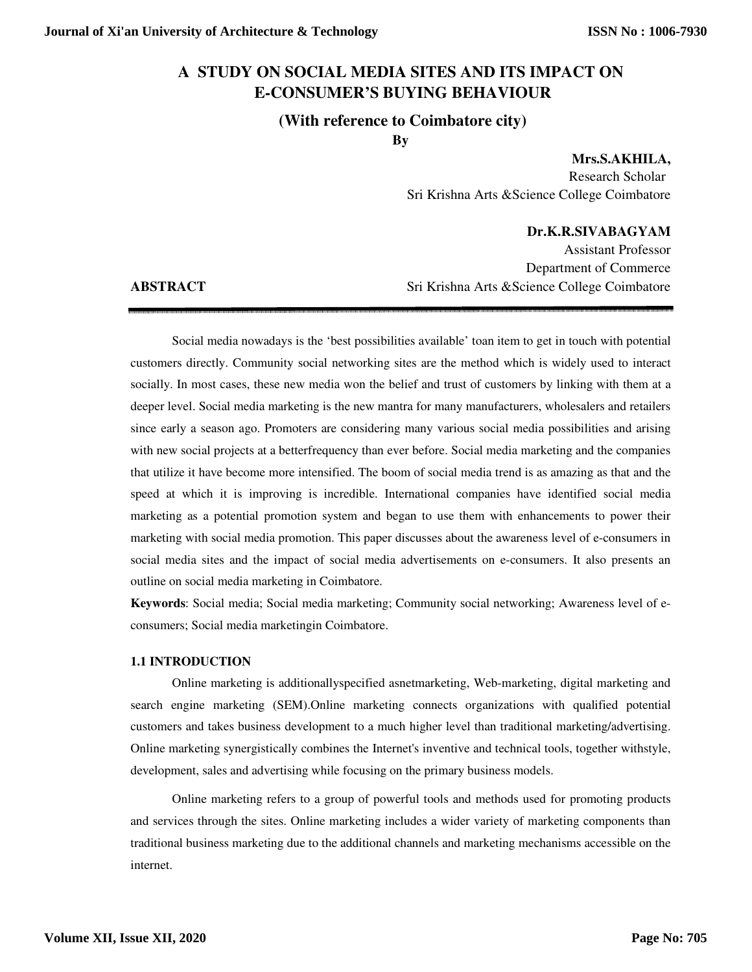# **A STUDY ON SOCIAL MEDIA SITES AND ITS IMPACT ON E-CONSUMER'S BUYING BEHAVIOUR**

# **(With reference to Coimbatore city)**

**By** 

**Mrs.S.AKHILA,** 

Research Scholar Sri Krishna Arts &Science College Coimbatore

# **Dr.K.R.SIVABAGYAM**

Assistant Professor Department of Commerce **ABSTRACT** Sri Krishna Arts & Science College Coimbatore

 Social media nowadays is the 'best possibilities available' toan item to get in touch with potential customers directly. Community social networking sites are the method which is widely used to interact socially. In most cases, these new media won the belief and trust of customers by linking with them at a deeper level. Social media marketing is the new mantra for many manufacturers, wholesalers and retailers since early a season ago. Promoters are considering many various social media possibilities and arising with new social projects at a betterfrequency than ever before. Social media marketing and the companies that utilize it have become more intensified. The boom of social media trend is as amazing as that and the speed at which it is improving is incredible. International companies have identified social media marketing as a potential promotion system and began to use them with enhancements to power their marketing with social media promotion. This paper discusses about the awareness level of e-consumers in social media sites and the impact of social media advertisements on e-consumers. It also presents an outline on social media marketing in Coimbatore.

**Keywords**: Social media; Social media marketing; Community social networking; Awareness level of econsumers; Social media marketingin Coimbatore.

# **1.1 INTRODUCTION**

 Online marketing is additionallyspecified asnetmarketing, Web-marketing, digital marketing and search engine marketing (SEM).Online marketing connects organizations with qualified potential customers and takes business development to a much higher level than traditional marketing/advertising. Online marketing synergistically combines the Internet's inventive and technical tools, together withstyle, development, sales and advertising while focusing on the primary business models.

Online marketing refers to a group of powerful tools and methods used for promoting products and services through the sites. Online marketing includes a wider variety of marketing components than traditional business marketing due to the additional channels and marketing mechanisms accessible on the internet.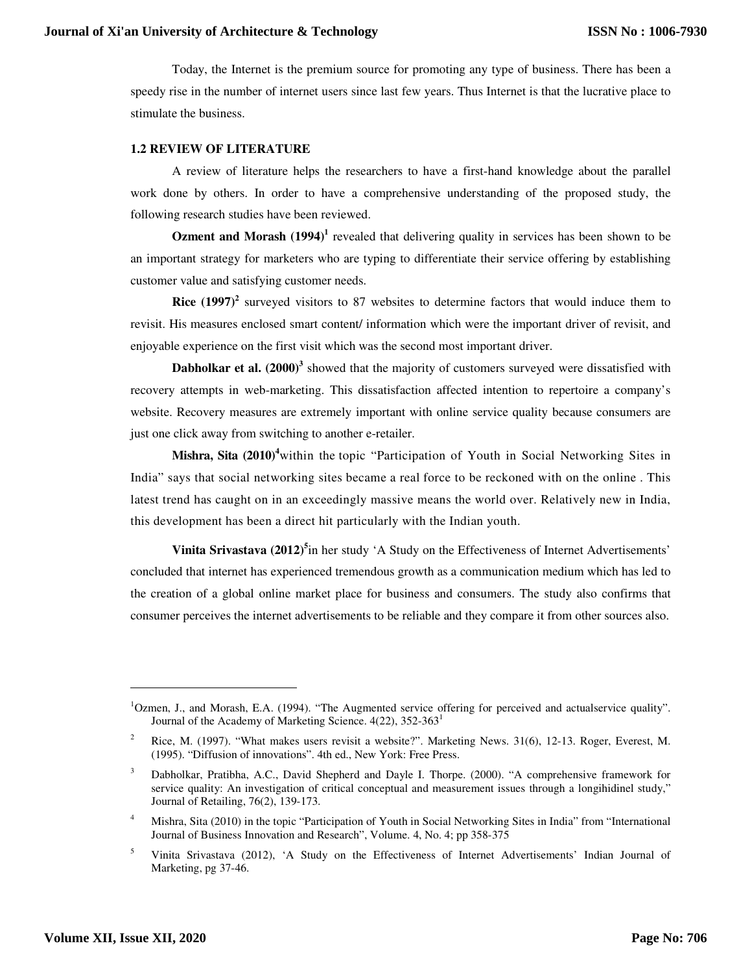Today, the Internet is the premium source for promoting any type of business. There has been a speedy rise in the number of internet users since last few years. Thus Internet is that the lucrative place to stimulate the business.

## **1.2 REVIEW OF LITERATURE**

A review of literature helps the researchers to have a first-hand knowledge about the parallel work done by others. In order to have a comprehensive understanding of the proposed study, the following research studies have been reviewed.

**Ozment and Morash (1994)<sup>1</sup>** revealed that delivering quality in services has been shown to be an important strategy for marketers who are typing to differentiate their service offering by establishing customer value and satisfying customer needs.

**Rice** (1997)<sup>2</sup> surveyed visitors to 87 websites to determine factors that would induce them to revisit. His measures enclosed smart content/ information which were the important driver of revisit, and enjoyable experience on the first visit which was the second most important driver.

Dabholkar et al. (2000)<sup>3</sup> showed that the majority of customers surveyed were dissatisfied with recovery attempts in web-marketing. This dissatisfaction affected intention to repertoire a company's website. Recovery measures are extremely important with online service quality because consumers are just one click away from switching to another e-retailer.

**Mishra, Sita (2010)<sup>4</sup>**within the topic "Participation of Youth in Social Networking Sites in India" says that social networking sites became a real force to be reckoned with on the online . This latest trend has caught on in an exceedingly massive means the world over. Relatively new in India, this development has been a direct hit particularly with the Indian youth.

**Vinita Srivastava (2012)<sup>5</sup>** in her study 'A Study on the Effectiveness of Internet Advertisements' concluded that internet has experienced tremendous growth as a communication medium which has led to the creation of a global online market place for business and consumers. The study also confirms that consumer perceives the internet advertisements to be reliable and they compare it from other sources also.

-

<sup>&</sup>lt;sup>1</sup>Ozmen, J., and Morash, E.A. (1994). "The Augmented service offering for perceived and actualservice quality". Journal of the Academy of Marketing Science. 4(22), 352-363<sup>1</sup>

<sup>2</sup> Rice, M. (1997). "What makes users revisit a website?". Marketing News. 31(6), 12-13. Roger, Everest, M. (1995). "Diffusion of innovations". 4th ed., New York: Free Press.

<sup>3</sup> Dabholkar, Pratibha, A.C., David Shepherd and Dayle I. Thorpe. (2000). "A comprehensive framework for service quality: An investigation of critical conceptual and measurement issues through a longihidinel study," Journal of Retailing, 76(2), 139-173.

<sup>4</sup> Mishra, Sita (2010) in the topic "Participation of Youth in Social Networking Sites in India" from "International Journal of Business Innovation and Research", Volume. 4, No. 4; pp 358-375

<sup>5</sup> Vinita Srivastava (2012), 'A Study on the Effectiveness of Internet Advertisements' Indian Journal of Marketing, pg 37-46.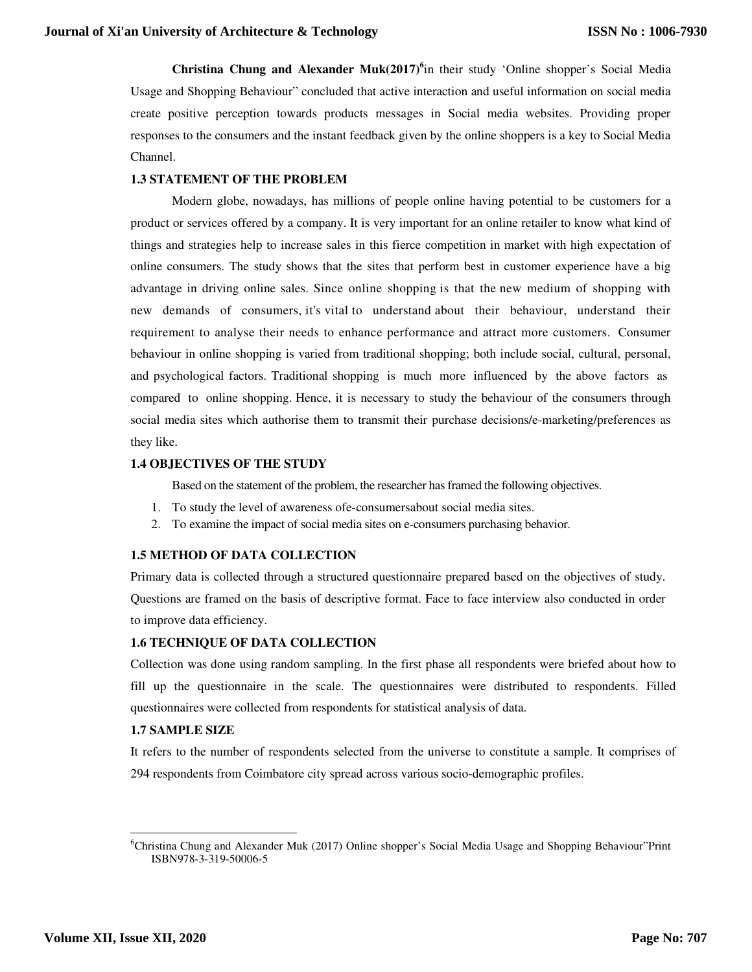**Christina Chung and Alexander Muk(2017)<sup>6</sup>** in their study 'Online shopper's Social Media Usage and Shopping Behaviour" concluded that active interaction and useful information on social media create positive perception towards products messages in Social media websites. Providing proper responses to the consumers and the instant feedback given by the online shoppers is a key to Social Media Channel.

# **1.3 STATEMENT OF THE PROBLEM**

Modern globe, nowadays, has millions of people online having potential to be customers for a product or services offered by a company. It is very important for an online retailer to know what kind of things and strategies help to increase sales in this fierce competition in market with high expectation of online consumers. The study shows that the sites that perform best in customer experience have a big advantage in driving online sales. Since online shopping is that the new medium of shopping with new demands of consumers, it's vital to understand about their behaviour, understand their requirement to analyse their needs to enhance performance and attract more customers. Consumer behaviour in online shopping is varied from traditional shopping; both include social, cultural, personal, and psychological factors. Traditional shopping is much more influenced by the above factors as compared to online shopping. Hence, it is necessary to study the behaviour of the consumers through social media sites which authorise them to transmit their purchase decisions/e-marketing/preferences as they like.

# **1.4 OBJECTIVES OF THE STUDY**

Based on the statement of the problem, the researcher has framed the following objectives.

- 1. To study the level of awareness ofe-consumersabout social media sites.
- 2. To examine the impact of social media sites on e-consumers purchasing behavior.

# **1.5 METHOD OF DATA COLLECTION**

Primary data is collected through a structured questionnaire prepared based on the objectives of study. Questions are framed on the basis of descriptive format. Face to face interview also conducted in order to improve data efficiency.

# **1.6 TECHNIQUE OF DATA COLLECTION**

Collection was done using random sampling. In the first phase all respondents were briefed about how to fill up the questionnaire in the scale. The questionnaires were distributed to respondents. Filled questionnaires were collected from respondents for statistical analysis of data.

# **1.7 SAMPLE SIZE**

It refers to the number of respondents selected from the universe to constitute a sample. It comprises of 294 respondents from Coimbatore city spread across various socio-demographic profiles.

-

<sup>&</sup>lt;sup>6</sup>Christina Chung and Alexander Muk (2017) Online shopper's Social Media Usage and Shopping Behaviour"Print ISBN978-3-319-50006-5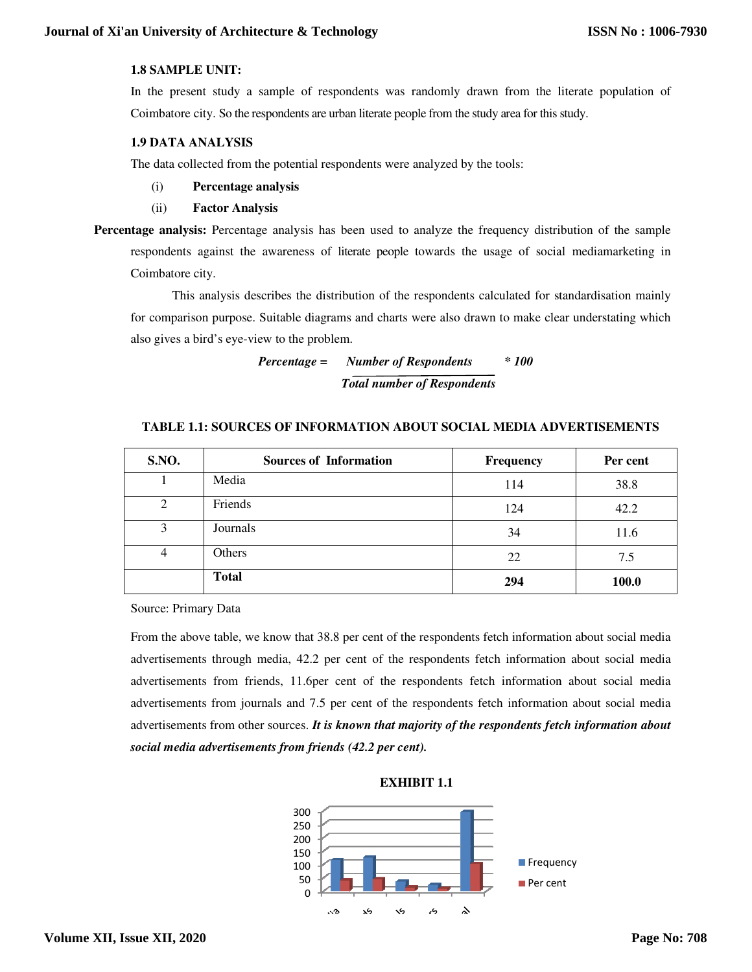# **1.8 SAMPLE UNIT:**

## **1.9 DATA ANALYSIS**

- (i) **Percentage analysis analysis**
- (ii) **Factor Analysis**
- Percentage analysis: Percentage analysis has been used to analyze the frequency distribution of the respondents against the awareness of literate people towards the usage of social mediamarketing in Coimbatore city.

*Percentage = Percentage Number of Respondents \* 100 Total number of Respondents* 

# **TABLE 1.1: SOURCES OF INFORMATION ABOUT SOCIAL MEDIA ADVERTISEMENTS**<br> **INFORMATION ABOUT SOCIAL MEDIA ADVERTISEMENTS**<br> **INFORMATION ABOUT SOCIAL MEDIA ADVERTISEMENTS**

|                          | Journal of Xi'an University of Architecture & Technology                                                   |           | <b>ISSN No: 1006-</b> |
|--------------------------|------------------------------------------------------------------------------------------------------------|-----------|-----------------------|
| <b>1.8 SAMPLE UNIT:</b>  |                                                                                                            |           |                       |
|                          | In the present study a sample of respondents was randomly drawn from the literate population of            |           |                       |
|                          | Coimbatore city. So the respondents are urban literate people from the study area for this study.          |           |                       |
| <b>1.9 DATA ANALYSIS</b> |                                                                                                            |           |                       |
|                          | The data collected from the potential respondents were analyzed by the tools:                              |           |                       |
| (i)                      | Percentage analysis                                                                                        |           |                       |
| (ii)                     | <b>Factor Analysis</b>                                                                                     |           |                       |
|                          | Percentage analysis: Percentage analysis has been used to analyze the frequency distribution of the sample |           |                       |
|                          | respondents against the awareness of literate people towards the usage of social mediamarketing in         |           |                       |
| Coimbatore city.         |                                                                                                            |           |                       |
|                          | This analysis describes the distribution of the respondents calculated for standardisation mainly          |           |                       |
|                          | for comparison purpose. Suitable diagrams and charts were also drawn to make clear understating which      |           |                       |
|                          | also gives a bird's eye-view to the problem.                                                               |           |                       |
|                          | <b>Number of Respondents</b><br>$Percentage =$                                                             | $*100$    |                       |
|                          | <b>Total number of Respondents</b>                                                                         |           |                       |
|                          | TABLE 1.1: SOURCES OF INFORMATION ABOUT SOCIAL MEDIA ADVERTISEMENTS                                        |           |                       |
| S.NO.                    | <b>Sources of Information</b>                                                                              | Frequency | Per cent              |
| 1                        | Media                                                                                                      | 114       | 38.8                  |
| $\overline{2}$           | Friends                                                                                                    | 124       | 42.2                  |
| $\overline{3}$           | Journals                                                                                                   | 34        | 11.6                  |
| $\overline{4}$           | Others                                                                                                     | 22        | 7.5                   |
|                          | <b>Total</b>                                                                                               | 294       | 100.0                 |
| Source: Primary Data     |                                                                                                            |           |                       |
|                          | From the above table, we know that 38.8 per cent of the respondents fetch information about social media   |           |                       |
|                          | advertisements through media, 42.2 per cent of the respondents fetch information about social media        |           |                       |
|                          | advertisements from friends, 11.6per cent of the respondents fetch information about social media          |           |                       |
|                          | advertisements from journals and 7.5 per cent of the respondents fetch information about social media      |           |                       |
|                          | advertisements from other sources. It is known that majority of the respondents fetch information about    |           |                       |

From the above table, we know that 38.8 per cent of the respondents fetch information about social media advertisements through media, 42.2 per cent of the respondents fetch information about social media From the above table, we know that 38.8 per cent of the respondents fetch information about social media advertisements from friends, 11.6per cent of the respondents fetch information about social media advertisements from advertisements from journals and 7.5 per cent of the respondents fetch information about social media advertisements from other sources. *It is known that majority of the respondents fetch information about social media advertisements from friends (42.2 per cent). ial* 

**EXHIBIT 1.1** 

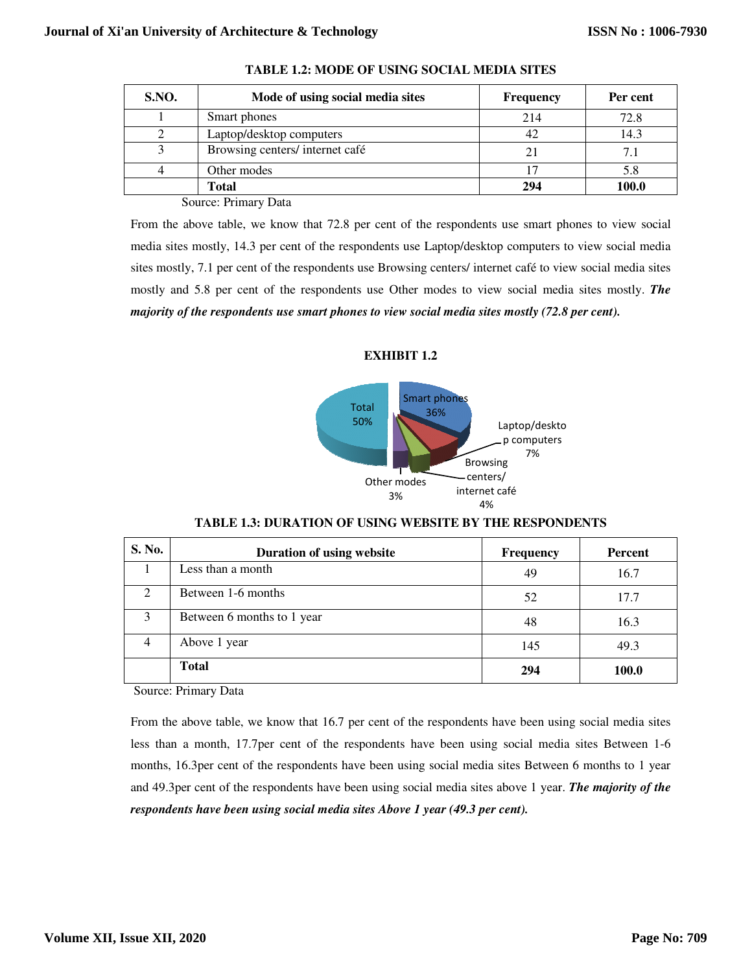| <b>S.NO.</b> | Mode of using social media sites | <b>Frequency</b> | Per cent     |
|--------------|----------------------------------|------------------|--------------|
|              | Smart phones                     | 214              | 72.8         |
|              | Laptop/desktop computers         |                  | 14.3         |
|              | Browsing centers/internet café   |                  | 7.1          |
|              | Other modes                      |                  | 5.8          |
|              | <b>Total</b>                     | 294              | <b>100.0</b> |





**TABLE 1.3: DURATION : OF USING WEBSITE BY THE RESPONDENTS**

| <b>S.NO.</b>                                                                                                                                                | Mode of using social media sites                                                                             | Frequency              | Per cent        |  |  |  |
|-------------------------------------------------------------------------------------------------------------------------------------------------------------|--------------------------------------------------------------------------------------------------------------|------------------------|-----------------|--|--|--|
| 1                                                                                                                                                           | Smart phones                                                                                                 | 214                    | 72.8            |  |  |  |
| $\overline{2}$                                                                                                                                              | Laptop/desktop computers                                                                                     | 42                     | 14.3            |  |  |  |
| 3                                                                                                                                                           | Browsing centers/internet café                                                                               | 21                     | 7.1             |  |  |  |
| $\overline{4}$                                                                                                                                              | Other modes                                                                                                  | 17                     | 5.8             |  |  |  |
|                                                                                                                                                             | <b>Total</b>                                                                                                 | 294                    | 100.0           |  |  |  |
| Source: Primary Data                                                                                                                                        |                                                                                                              |                        |                 |  |  |  |
| From the above table, we know that 72.8 per cent of the respondents use smart phones to view social                                                         |                                                                                                              |                        |                 |  |  |  |
|                                                                                                                                                             | media sites mostly, 14.3 per cent of the respondents use Laptop/desktop computers to view social media       |                        |                 |  |  |  |
|                                                                                                                                                             | sites mostly, 7.1 per cent of the respondents use Browsing centers/ internet café to view social media sites |                        |                 |  |  |  |
|                                                                                                                                                             | mostly and 5.8 per cent of the respondents use Other modes to view social media sites mostly. The            |                        |                 |  |  |  |
|                                                                                                                                                             | majority of the respondents use smart phones to view social media sites mostly (72.8 per cent).              |                        |                 |  |  |  |
|                                                                                                                                                             |                                                                                                              |                        |                 |  |  |  |
|                                                                                                                                                             | <b>EXHIBIT 1.2</b>                                                                                           |                        |                 |  |  |  |
| <b>Smart phones</b><br>Total<br>36%<br>50%<br>Laptop/deskto<br>p computers<br>7%<br><b>Browsing</b><br>centers/<br>Other modes<br>internet café<br>3%<br>4% |                                                                                                              |                        |                 |  |  |  |
|                                                                                                                                                             | <b>TABLE 1.3: DURATION OF USING WEBSITE BY THE RESPONDENTS</b>                                               |                        |                 |  |  |  |
| S. No.                                                                                                                                                      |                                                                                                              |                        |                 |  |  |  |
| $\mathbf{1}$                                                                                                                                                | Duration of using website<br>Less than a month                                                               | <b>Frequency</b><br>49 | Percent<br>16.7 |  |  |  |
| $\overline{2}$                                                                                                                                              | Between 1-6 months                                                                                           | 52                     | 17.7            |  |  |  |
| 3                                                                                                                                                           | Between 6 months to 1 year                                                                                   | 48                     | 16.3            |  |  |  |
| $\overline{4}$                                                                                                                                              | Above 1 year                                                                                                 | 145                    | 49.3            |  |  |  |
|                                                                                                                                                             | <b>Total</b>                                                                                                 | 294                    | 100.0           |  |  |  |
|                                                                                                                                                             | Source: Primary Data                                                                                         |                        |                 |  |  |  |
|                                                                                                                                                             | From the above table, we know that 16.7 per cent of the respondents have been using social media sites       |                        |                 |  |  |  |
|                                                                                                                                                             | less than a month, 17.7per cent of the respondents have been using social media sites Between 1-6            |                        |                 |  |  |  |
|                                                                                                                                                             | months, 16.3per cent of the respondents have been using social media sites Between 6 months to 1 year        |                        |                 |  |  |  |
|                                                                                                                                                             | and 49.3per cent of the respondents have been using social media sites above 1 year. The majority of the     |                        |                 |  |  |  |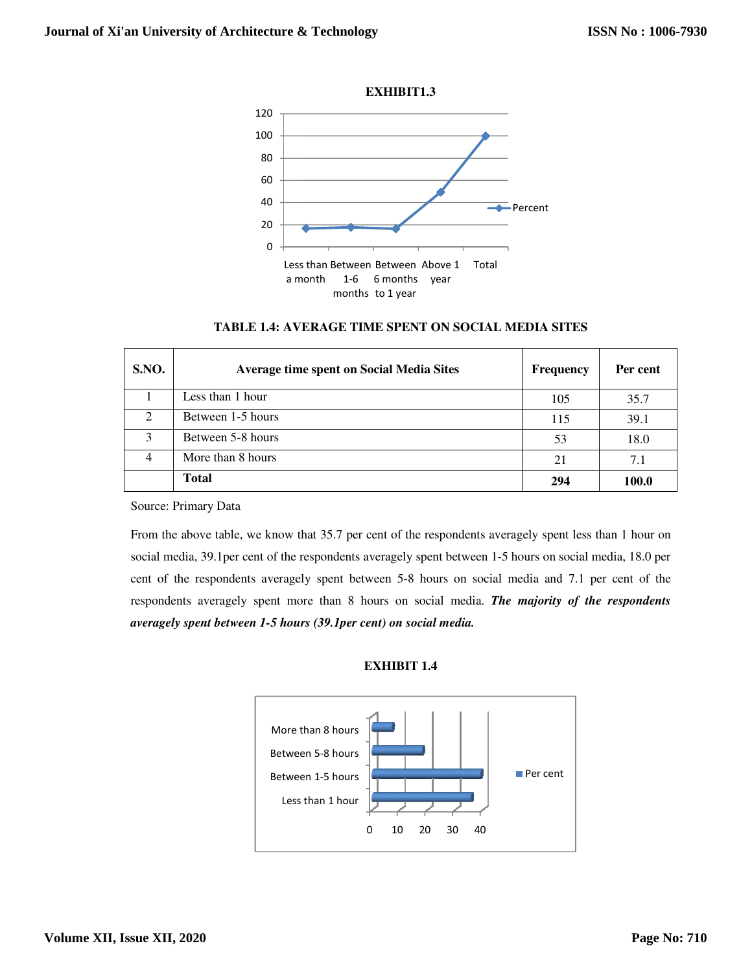

|  |  |  | <b>TABLE 1.4: AVERAGE TIME SPENT ON SOCIAL MEDIA SITES</b> |
|--|--|--|------------------------------------------------------------|
|--|--|--|------------------------------------------------------------|

| <b>S.NO.</b>                | <b>Average time spent on Social Media Sites</b> | Frequency | Per cent |
|-----------------------------|-------------------------------------------------|-----------|----------|
|                             | Less than 1 hour                                | 105       | 35.7     |
| $\mathcal{D}_{\mathcal{L}}$ | Between 1-5 hours                               | 115       | 39.1     |
| 3                           | Between 5-8 hours                               | 53        | 18.0     |
| 4                           | More than 8 hours                               | 21        | 7.1      |
|                             | <b>Total</b>                                    | 294       | 100.0    |

Source: Primary Data

From the above table, we know that 35.7 per cent of the respondents averagely spent less than 1 hour on From the above table, we know that 35.7 per cent of the respondents averagely spent less than 1 hour on social media, 18.0 per  $\frac{1}{5}$ cent of the respondents averagely spent between 5-8 hours on social media and 7.1 per cent of the respondents averagely spent more than 8 hours on social media. *The majority of the respondents averagely spent between 1-5 hours (39.1per cent) on social media. 5 cent)* 



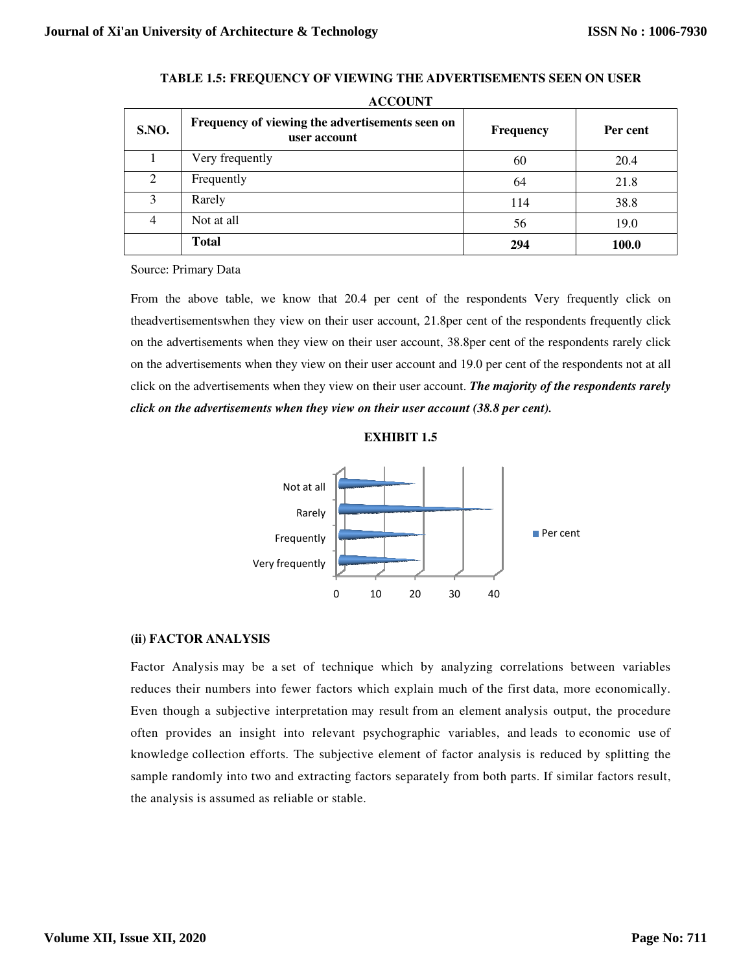|                | <b>ACCOUNT</b>                                                                                                                                                                                                      |                |          |
|----------------|---------------------------------------------------------------------------------------------------------------------------------------------------------------------------------------------------------------------|----------------|----------|
| S.NO.          | Frequency of viewing the advertisements seen on<br>user account                                                                                                                                                     | Frequency      | Per cent |
| 1              | Very frequently                                                                                                                                                                                                     | 60             | 20.4     |
| $\overline{2}$ | Frequently                                                                                                                                                                                                          | 64             | 21.8     |
| 3              | Rarely                                                                                                                                                                                                              | 114            | 38.8     |
| $\overline{4}$ | Not at all                                                                                                                                                                                                          | 56             | 19.0     |
|                | <b>Total</b>                                                                                                                                                                                                        | 294            | 100.0    |
|                | click on the advertisements when they view on their user account. The majority of the respondents rarely<br>click on the advertisements when they view on their user account (38.8 per cent).<br><b>EXHIBIT 1.5</b> |                |          |
|                | Not at all<br>Rarely<br>Frequently<br>Very frequently<br>20<br>0<br>10<br>30                                                                                                                                        | Per cent<br>40 |          |
|                | (ii) FACTOR ANALYSIS                                                                                                                                                                                                |                |          |
|                | Factor Analysis may be a set of technique which by analyzing correlations between variables                                                                                                                         |                |          |
|                | reduces their numbers into fewer factors which explain much of the first data, more economically.                                                                                                                   |                |          |
|                | Even though a subjective interpretation may result from an element analysis output, the procedure                                                                                                                   |                |          |
|                | often provides an insight into relevant psychographic variables, and leads to economic use of                                                                                                                       |                |          |
|                | knowledge collection efforts. The subjective element of factor analysis is reduced by splitting the                                                                                                                 |                |          |
|                | sample randomly into two and extracting factors separately from both parts. If similar factors result,                                                                                                              |                |          |
|                |                                                                                                                                                                                                                     |                |          |

**TABLE 1.5: FREQUENCY O OF VIEWING THE ADVERTISEMENTS SEEN ON USER** 

#### **EXHIBIT 1.5**



#### **(ii) FACTOR ANALYSIS**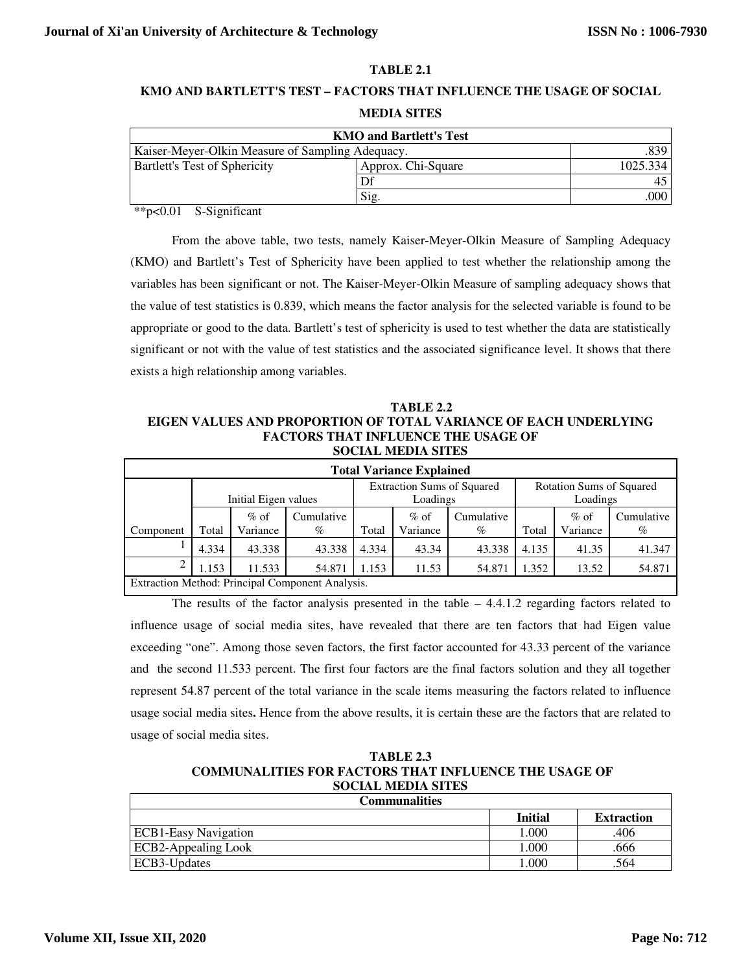# **TABLE 2.1**

# **KMO AND BARTLETT'S TEST – FACTORS THAT INFLUENCE THE USAGE OF SOCIAL MEDIA SITES**

| <b>KMO and Bartlett's Test</b>                             |          |     |  |  |
|------------------------------------------------------------|----------|-----|--|--|
| .839  <br>Kaiser-Meyer-Olkin Measure of Sampling Adequacy. |          |     |  |  |
| Bartlett's Test of Sphericity                              | 1025.334 |     |  |  |
|                                                            | Df       |     |  |  |
|                                                            | Sig.     | 000 |  |  |

\*\*p<0.01 S-Significant

From the above table, two tests, namely Kaiser-Meyer-Olkin Measure of Sampling Adequacy (KMO) and Bartlett's Test of Sphericity have been applied to test whether the relationship among the variables has been significant or not. The Kaiser-Meyer-Olkin Measure of sampling adequacy shows that the value of test statistics is 0.839, which means the factor analysis for the selected variable is found to be appropriate or good to the data. Bartlett's test of sphericity is used to test whether the data are statistically significant or not with the value of test statistics and the associated significance level. It shows that there exists a high relationship among variables.

# **TABLE 2.2 EIGEN VALUES AND PROPORTION OF TOTAL VARIANCE OF EACH UNDERLYING FACTORS THAT INFLUENCE THE USAGE OF SOCIAL MEDIA SITES**

| <b>Total Variance Explained</b>                  |                      |                    |                    |       |                                               |                    |                                             |                    |                    |
|--------------------------------------------------|----------------------|--------------------|--------------------|-------|-----------------------------------------------|--------------------|---------------------------------------------|--------------------|--------------------|
|                                                  | Initial Eigen values |                    |                    |       | <b>Extraction Sums of Squared</b><br>Loadings |                    | <b>Rotation Sums of Squared</b><br>Loadings |                    |                    |
| Component                                        | Total                | $%$ of<br>Variance | Cumulative<br>$\%$ | Total | $%$ of<br>Variance                            | Cumulative<br>$\%$ | Total                                       | $%$ of<br>Variance | Cumulative<br>$\%$ |
|                                                  | 4.334                | 43.338             | 43.338             | 4.334 | 43.34                                         | 43.338             | 4.135                                       | 41.35              | 41.347             |
|                                                  | 1.153                | 11.533             | 54.871             | 1.153 | 11.53                                         | 54.871             | .352                                        | 13.52              | 54.871             |
| Extraction Method: Principal Component Analysis. |                      |                    |                    |       |                                               |                    |                                             |                    |                    |

The results of the factor analysis presented in the table  $-4.4.1.2$  regarding factors related to influence usage of social media sites, have revealed that there are ten factors that had Eigen value exceeding "one". Among those seven factors, the first factor accounted for 43.33 percent of the variance and the second 11.533 percent. The first four factors are the final factors solution and they all together represent 54.87 percent of the total variance in the scale items measuring the factors related to influence usage social media sites**.** Hence from the above results, it is certain these are the factors that are related to usage of social media sites.

# **TABLE 2.3 COMMUNALITIES FOR FACTORS THAT INFLUENCE THE USAGE OF SOCIAL MEDIA SITES**

| <b>Communalities</b>        |                |                   |  |  |
|-----------------------------|----------------|-------------------|--|--|
|                             | <b>Initial</b> | <b>Extraction</b> |  |  |
| <b>ECB1-Easy Navigation</b> | 1.000          | 406               |  |  |
| <b>ECB2-Appealing Look</b>  | 000.           | .666              |  |  |
| ECB3-Updates                | .000           | .564              |  |  |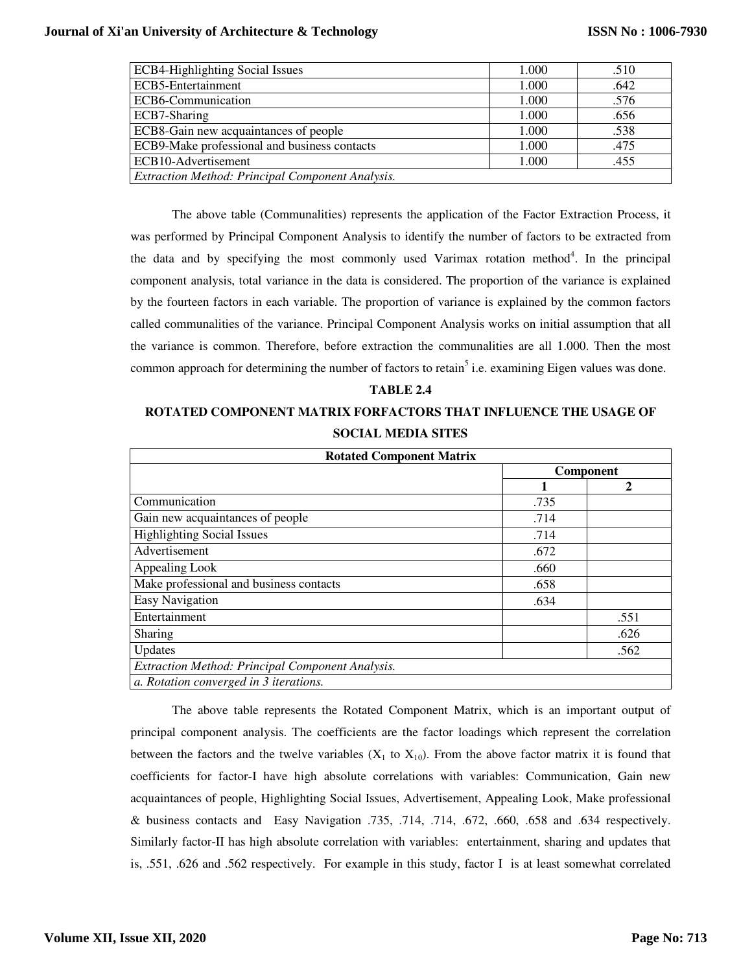| <b>ECB4-Highlighting Social Issues</b>           | 1.000 | .510 |
|--------------------------------------------------|-------|------|
| ECB5-Entertainment                               | 1.000 | .642 |
| ECB6-Communication                               | 1.000 | .576 |
| ECB7-Sharing                                     | 1.000 | .656 |
| ECB8-Gain new acquaintances of people            | 1.000 | .538 |
| ECB9-Make professional and business contacts     | 1.000 | .475 |
| ECB10-Advertisement                              | 1.000 | .455 |
| Extraction Method: Principal Component Analysis. |       |      |

The above table (Communalities) represents the application of the Factor Extraction Process, it was performed by Principal Component Analysis to identify the number of factors to be extracted from the data and by specifying the most commonly used Varimax rotation method<sup>4</sup>. In the principal component analysis, total variance in the data is considered. The proportion of the variance is explained by the fourteen factors in each variable. The proportion of variance is explained by the common factors called communalities of the variance. Principal Component Analysis works on initial assumption that all the variance is common. Therefore, before extraction the communalities are all 1.000. Then the most common approach for determining the number of factors to retain<sup>5</sup> i.e. examining Eigen values was done.

## **TABLE 2.4**

# **ROTATED COMPONENT MATRIX FORFACTORS THAT INFLUENCE THE USAGE OF SOCIAL MEDIA SITES**

| <b>Rotated Component Matrix</b>                  |           |      |  |  |  |
|--------------------------------------------------|-----------|------|--|--|--|
|                                                  | Component |      |  |  |  |
|                                                  |           | 2    |  |  |  |
| Communication                                    | .735      |      |  |  |  |
| Gain new acquaintances of people                 | .714      |      |  |  |  |
| <b>Highlighting Social Issues</b>                | .714      |      |  |  |  |
| Advertisement                                    | .672      |      |  |  |  |
| Appealing Look                                   | .660      |      |  |  |  |
| Make professional and business contacts          | .658      |      |  |  |  |
| <b>Easy Navigation</b>                           | .634      |      |  |  |  |
| Entertainment                                    |           | .551 |  |  |  |
| <b>Sharing</b>                                   |           | .626 |  |  |  |
| Updates                                          |           | .562 |  |  |  |
| Extraction Method: Principal Component Analysis. |           |      |  |  |  |
| a. Rotation converged in 3 iterations.           |           |      |  |  |  |

The above table represents the Rotated Component Matrix, which is an important output of principal component analysis. The coefficients are the factor loadings which represent the correlation between the factors and the twelve variables  $(X_1$  to  $X_{10})$ . From the above factor matrix it is found that coefficients for factor-I have high absolute correlations with variables: Communication, Gain new acquaintances of people, Highlighting Social Issues, Advertisement, Appealing Look, Make professional & business contacts and Easy Navigation .735, .714, .714, .672, .660, .658 and .634 respectively. Similarly factor-II has high absolute correlation with variables: entertainment, sharing and updates that is, .551, .626 and .562 respectively. For example in this study, factor I is at least somewhat correlated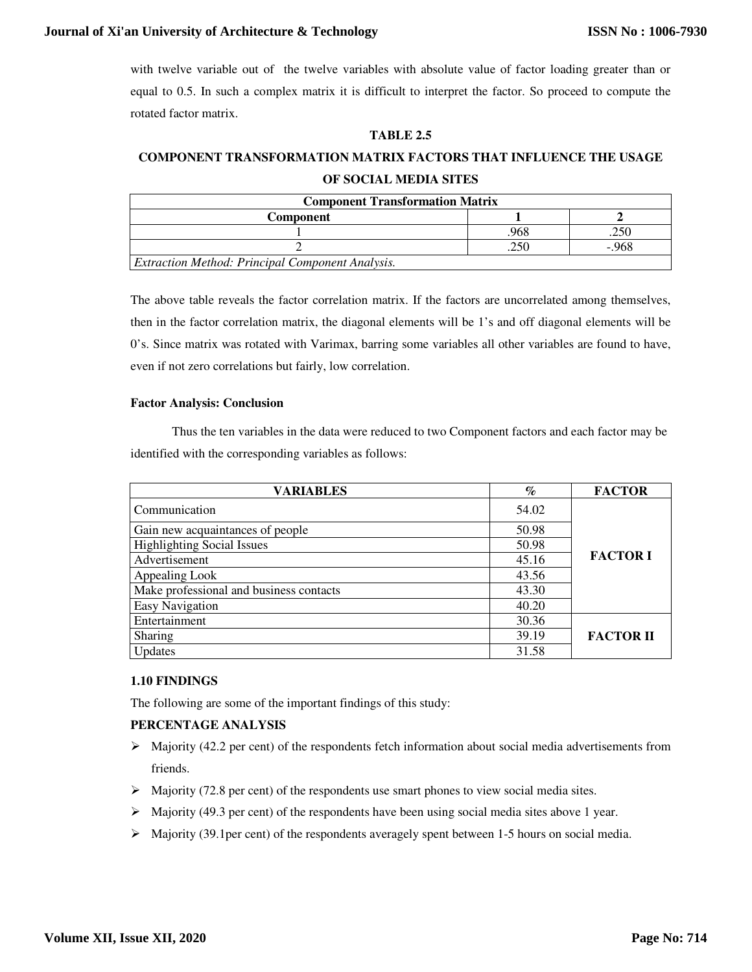# **Journal of Xi'an University of Architecture & Technology**

with twelve variable out of the twelve variables with absolute value of factor loading greater than or equal to 0.5. In such a complex matrix it is difficult to interpret the factor. So proceed to compute the rotated factor matrix.

# **TABLE 2.5**

# **COMPONENT TRANSFORMATION MATRIX FACTORS THAT INFLUENCE THE USAGE OF SOCIAL MEDIA SITES**

| <b>Component Transformation Matrix</b>                  |     |       |  |
|---------------------------------------------------------|-----|-------|--|
| <b>Component</b>                                        |     |       |  |
|                                                         | 968 |       |  |
|                                                         |     | - 968 |  |
| <b>Extraction Method: Principal Component Analysis.</b> |     |       |  |

The above table reveals the factor correlation matrix. If the factors are uncorrelated among themselves, then in the factor correlation matrix, the diagonal elements will be 1's and off diagonal elements will be 0's. Since matrix was rotated with Varimax, barring some variables all other variables are found to have, even if not zero correlations but fairly, low correlation.

## **Factor Analysis: Conclusion**

 Thus the ten variables in the data were reduced to two Component factors and each factor may be identified with the corresponding variables as follows:

| <b>VARIABLES</b>                        | $\%$  | <b>FACTOR</b>    |
|-----------------------------------------|-------|------------------|
| Communication                           | 54.02 | <b>FACTOR I</b>  |
| Gain new acquaintances of people        | 50.98 |                  |
| <b>Highlighting Social Issues</b>       | 50.98 |                  |
| Advertisement                           | 45.16 |                  |
| Appealing Look                          | 43.56 |                  |
| Make professional and business contacts | 43.30 |                  |
| <b>Easy Navigation</b>                  | 40.20 |                  |
| Entertainment                           | 30.36 | <b>FACTOR II</b> |
| Sharing                                 | 39.19 |                  |
| Updates                                 | 31.58 |                  |

# **1.10 FINDINGS**

The following are some of the important findings of this study:

# **PERCENTAGE ANALYSIS**

- $\triangleright$  Majority (42.2 per cent) of the respondents fetch information about social media advertisements from friends.
- $\triangleright$  Majority (72.8 per cent) of the respondents use smart phones to view social media sites.
- Majority (49.3 per cent) of the respondents have been using social media sites above 1 year.
- $\triangleright$  Majority (39.1per cent) of the respondents averagely spent between 1-5 hours on social media.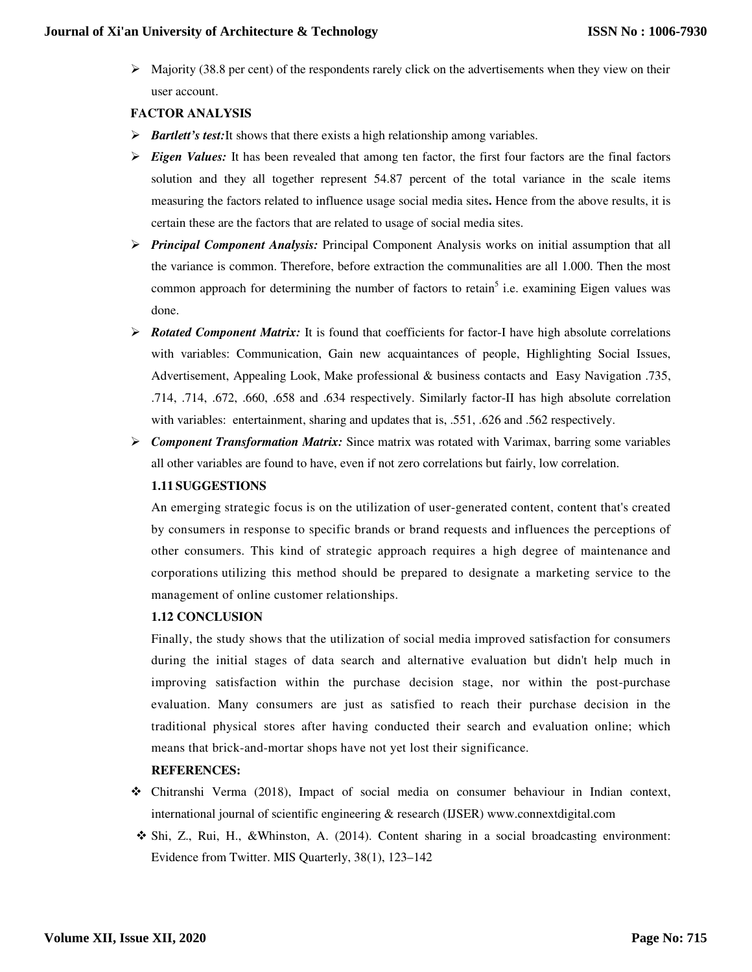$\triangleright$  Majority (38.8 per cent) of the respondents rarely click on the advertisements when they view on their user account.

# **FACTOR ANALYSIS**

- *Bartlett's test:*It shows that there exists a high relationship among variables.
- *Eigen Values:* It has been revealed that among ten factor, the first four factors are the final factors solution and they all together represent 54.87 percent of the total variance in the scale items measuring the factors related to influence usage social media sites**.** Hence from the above results, it is certain these are the factors that are related to usage of social media sites.
- *Principal Component Analysis:* Principal Component Analysis works on initial assumption that all the variance is common. Therefore, before extraction the communalities are all 1.000. Then the most common approach for determining the number of factors to retain<sup>5</sup> i.e. examining Eigen values was done.
- *► Rotated Component Matrix:* It is found that coefficients for factor-I have high absolute correlations with variables: Communication, Gain new acquaintances of people, Highlighting Social Issues, Advertisement, Appealing Look, Make professional & business contacts and Easy Navigation .735, .714, .714, .672, .660, .658 and .634 respectively. Similarly factor-II has high absolute correlation with variables: entertainment, sharing and updates that is, .551, .626 and .562 respectively.
- *Component Transformation Matrix:* Since matrix was rotated with Varimax, barring some variables all other variables are found to have, even if not zero correlations but fairly, low correlation.

# **1.11 SUGGESTIONS**

An emerging strategic focus is on the utilization of user-generated content, content that's created by consumers in response to specific brands or brand requests and influences the perceptions of other consumers. This kind of strategic approach requires a high degree of maintenance and corporations utilizing this method should be prepared to designate a marketing service to the management of online customer relationships.

# **1.12 CONCLUSION**

Finally, the study shows that the utilization of social media improved satisfaction for consumers during the initial stages of data search and alternative evaluation but didn't help much in improving satisfaction within the purchase decision stage, nor within the post-purchase evaluation. Many consumers are just as satisfied to reach their purchase decision in the traditional physical stores after having conducted their search and evaluation online; which means that brick-and-mortar shops have not yet lost their significance.

# **REFERENCES:**

- Chitranshi Verma (2018), Impact of social media on consumer behaviour in Indian context, international journal of scientific engineering & research (IJSER) www.connextdigital.com
- Shi, Z., Rui, H., &Whinston, A. (2014). Content sharing in a social broadcasting environment: Evidence from Twitter. MIS Quarterly, 38(1), 123–142